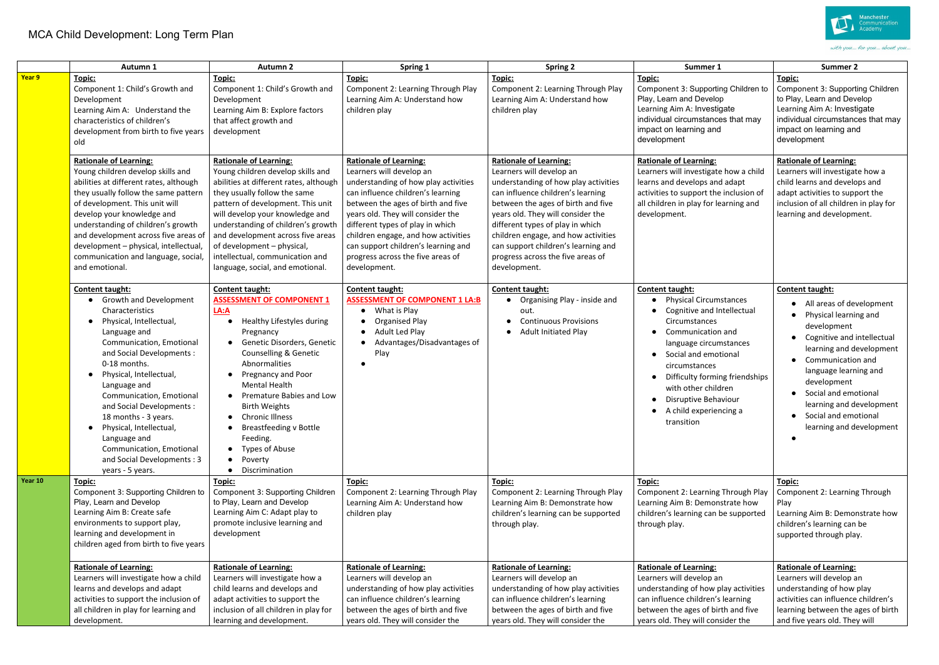## MCA Child Development: Long Term Plan

|         | Autumn 1                                                                                                                                                                                                                                                                                                                                                                                                                                               | <b>Autumn 2</b>                                                                                                                                                                                                                                                                                                                                                                                                   | Spring 1                                                                                                                                                                                                                                                                                                                                                                                 | <b>Spring 2</b>                                                                                                                                                                                                                                                                                                                                                                          | Summer 1                                                                                                                                                                                                                                                                                                                      | Summer 2                                                                                                                                                                                                                                                                                                                        |
|---------|--------------------------------------------------------------------------------------------------------------------------------------------------------------------------------------------------------------------------------------------------------------------------------------------------------------------------------------------------------------------------------------------------------------------------------------------------------|-------------------------------------------------------------------------------------------------------------------------------------------------------------------------------------------------------------------------------------------------------------------------------------------------------------------------------------------------------------------------------------------------------------------|------------------------------------------------------------------------------------------------------------------------------------------------------------------------------------------------------------------------------------------------------------------------------------------------------------------------------------------------------------------------------------------|------------------------------------------------------------------------------------------------------------------------------------------------------------------------------------------------------------------------------------------------------------------------------------------------------------------------------------------------------------------------------------------|-------------------------------------------------------------------------------------------------------------------------------------------------------------------------------------------------------------------------------------------------------------------------------------------------------------------------------|---------------------------------------------------------------------------------------------------------------------------------------------------------------------------------------------------------------------------------------------------------------------------------------------------------------------------------|
| Year 9  | Topic:<br>Component 1: Child's Growth and<br>Development<br>Learning Aim A: Understand the<br>characteristics of children's<br>development from birth to five years<br>old                                                                                                                                                                                                                                                                             | Topic:<br>Component 1: Child's Growth and<br>Development<br>Learning Aim B: Explore factors<br>that affect growth and<br>development                                                                                                                                                                                                                                                                              | Topic:<br>Component 2: Learning Through Play<br>Learning Aim A: Understand how<br>children play                                                                                                                                                                                                                                                                                          | Topic:<br>Component 2: Learning Through Play<br>Learning Aim A: Understand how<br>children play                                                                                                                                                                                                                                                                                          | Topic:<br>Component 3: Supporting Children to<br>Play, Learn and Develop<br>Learning Aim A: Investigate<br>individual circumstances that may<br>impact on learning and<br>development                                                                                                                                         | Topic:<br>Component 3: Supporting Children<br>to Play, Learn and Develop<br>Learning Aim A: Investigate<br>individual circumstances that may<br>impact on learning and<br>development                                                                                                                                           |
|         | <b>Rationale of Learning:</b><br>Young children develop skills and<br>abilities at different rates, although<br>they usually follow the same pattern<br>of development. This unit will<br>develop your knowledge and<br>understanding of children's growth<br>and development across five areas of<br>development - physical, intellectual,<br>communication and language, social,<br>and emotional.                                                   | <b>Rationale of Learning:</b><br>Young children develop skills and<br>abilities at different rates, although<br>they usually follow the same<br>pattern of development. This unit<br>will develop your knowledge and<br>understanding of children's growth<br>and development across five areas<br>of development - physical,<br>intellectual, communication and<br>language, social, and emotional.              | <b>Rationale of Learning:</b><br>Learners will develop an<br>understanding of how play activities<br>can influence children's learning<br>between the ages of birth and five<br>years old. They will consider the<br>different types of play in which<br>children engage, and how activities<br>can support children's learning and<br>progress across the five areas of<br>development. | <b>Rationale of Learning:</b><br>Learners will develop an<br>understanding of how play activities<br>can influence children's learning<br>between the ages of birth and five<br>years old. They will consider the<br>different types of play in which<br>children engage, and how activities<br>can support children's learning and<br>progress across the five areas of<br>development. | <b>Rationale of Learning:</b><br>Learners will investigate how a child<br>learns and develops and adapt<br>activities to support the inclusion of<br>all children in play for learning and<br>development.                                                                                                                    | <b>Rationale of Learning:</b><br>Learners will investigate how a<br>child learns and develops and<br>adapt activities to support the<br>inclusion of all children in play for<br>learning and development.                                                                                                                      |
|         | Content taught:<br>• Growth and Development<br>Characteristics<br>Physical, Intellectual,<br>Language and<br>Communication, Emotional<br>and Social Developments :<br>0-18 months.<br>• Physical, Intellectual,<br>Language and<br>Communication, Emotional<br>and Social Developments :<br>18 months - 3 years.<br>Physical, Intellectual,<br>$\bullet$<br>Language and<br>Communication, Emotional<br>and Social Developments: 3<br>years - 5 years. | Content taught:<br><b>ASSESSMENT OF COMPONENT 1</b><br>LA: A<br>Healthy Lifestyles during<br>Pregnancy<br>Genetic Disorders, Genetic<br><b>Counselling &amp; Genetic</b><br>Abnormalities<br>Pregnancy and Poor<br><b>Mental Health</b><br>Premature Babies and Low<br><b>Birth Weights</b><br><b>Chronic Illness</b><br><b>Breastfeeding v Bottle</b><br>Feeding.<br>Types of Abuse<br>Poverty<br>Discrimination | <b>Content taught:</b><br><b>ASSESSMENT OF COMPONENT 1 LA:B</b><br>$\bullet$ What is Play<br><b>Organised Play</b><br>Adult Led Play<br>Advantages/Disadvantages of<br>Play                                                                                                                                                                                                              | Content taught:<br>Organising Play - inside and<br>$\bullet$<br>out.<br><b>Continuous Provisions</b><br>Adult Initiated Play<br>$\bullet$                                                                                                                                                                                                                                                | Content taught:<br><b>Physical Circumstances</b><br>$\bullet$<br>Cognitive and Intellectual<br>Circumstances<br>Communication and<br>language circumstances<br>Social and emotional<br>circumstances<br>Difficulty forming friendships<br>with other children<br>Disruptive Behaviour<br>A child experiencing a<br>transition | Content taught:<br>All areas of development<br>Physical learning and<br>development<br>Cognitive and intellectual<br>learning and development<br>Communication and<br>language learning and<br>development<br>Social and emotional<br>learning and development<br>Social and emotional<br>$\bullet$<br>learning and development |
| Year 10 | Topic:<br>Component 3: Supporting Children to<br>Play, Learn and Develop<br>Learning Aim B: Create safe<br>environments to support play,<br>learning and development in<br>children aged from birth to five years                                                                                                                                                                                                                                      | Topic:<br>Component 3: Supporting Children<br>to Play, Learn and Develop<br>Learning Aim C: Adapt play to<br>promote inclusive learning and<br>development                                                                                                                                                                                                                                                        | Topic:<br>Component 2: Learning Through Play<br>Learning Aim A: Understand how<br>children play                                                                                                                                                                                                                                                                                          | Topic:<br>Component 2: Learning Through Play<br>Learning Aim B: Demonstrate how<br>children's learning can be supported<br>through play.                                                                                                                                                                                                                                                 | Topic:<br>Component 2: Learning Through Play<br>Learning Aim B: Demonstrate how<br>children's learning can be supported<br>through play.                                                                                                                                                                                      | Topic:<br>Component 2: Learning Through<br>Play<br>Learning Aim B: Demonstrate how<br>children's learning can be<br>supported through play.                                                                                                                                                                                     |
|         | <b>Rationale of Learning:</b><br>Learners will investigate how a child<br>learns and develops and adapt<br>activities to support the inclusion of<br>all children in play for learning and<br>development.                                                                                                                                                                                                                                             | <b>Rationale of Learning:</b><br>Learners will investigate how a<br>child learns and develops and<br>adapt activities to support the<br>inclusion of all children in play for<br>learning and development.                                                                                                                                                                                                        | <b>Rationale of Learning:</b><br>Learners will develop an<br>understanding of how play activities<br>can influence children's learning<br>between the ages of birth and five<br>years old. They will consider the                                                                                                                                                                        | <b>Rationale of Learning:</b><br>Learners will develop an<br>understanding of how play activities<br>can influence children's learning<br>between the ages of birth and five<br>years old. They will consider the                                                                                                                                                                        | <b>Rationale of Learning:</b><br>Learners will develop an<br>understanding of how play activities<br>can influence children's learning<br>between the ages of birth and five<br>years old. They will consider the                                                                                                             | <b>Rationale of Learning:</b><br>Learners will develop an<br>understanding of how play<br>activities can influence children's<br>learning between the ages of birth<br>and five years old. They will                                                                                                                            |



with you... for you... about you...